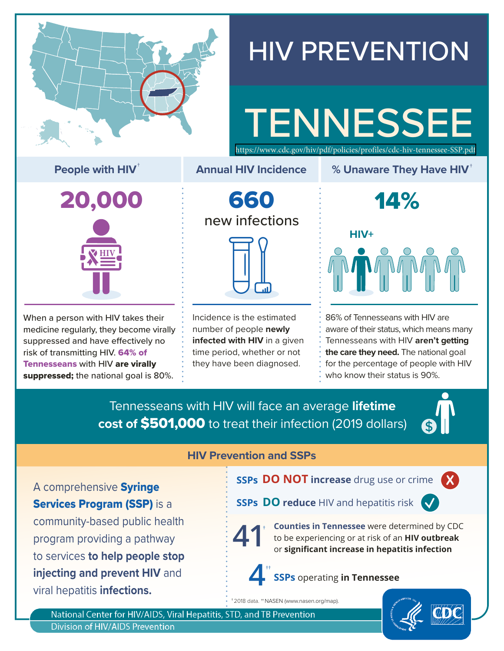

# HIV PREVENTION

# **TENNESSEE** <https://www.cdc.gov/hiv/pdf/policies/profiles/cdc-hiv-tennessee-SSP.pdf>

**People with HIV<sup>†</sup> <b>EXECUTE:** Annual HIV Incidence **8 Video With Hiv**<sup>†</sup> People with HIV<sup>†</sup>



When a person with HIV takes their medicine regularly, they become virally suppressed and have effectively no risk of transmitting HIV. 64% of Tennesseans with HIV are virally suppressed; the national goal is 80%.

660 new infections

**Annual HIV Incidence**

Incidence is the estimated number of people **newly infected with HIV** in a given time period, whether or not they have been diagnosed.

14% **HIV+**

86% of Tennesseans with HIV are aware of their status, which means many Tennesseans with HIV **aren't getting the care they need.** The national goal for the percentage of people with HIV who know their status is 90%.

Tennesseans with HIV will face an average **lifetime cost of** \$501,000 to treat their infection (2019 dollars)



A comprehensive Syringe **Services Program (SSP)** is a community-based public health program providing a pathway to services **to help people stop injecting and prevent HIV** and viral hepatitis **infections.**

#### **HIV Prevention and SSPs**

**SSPs DO NOT increase** drug use or crime **X**



**Counties in Tennessee** were determined by CDC to be experiencing or at risk of an **HIV outbreak 41** or **significant increase in hepatitis infection** 

# **4 SSPs** operating **in Tennessee** ††

† 2018 data. ††NASEN ([www.nasen.org/map](https://www.nasen.org/map/)).

National Center for HIV/AIDS, Viral Hepatitis, STD, and TB Prevention **Division of HIV/AIDS Prevention**